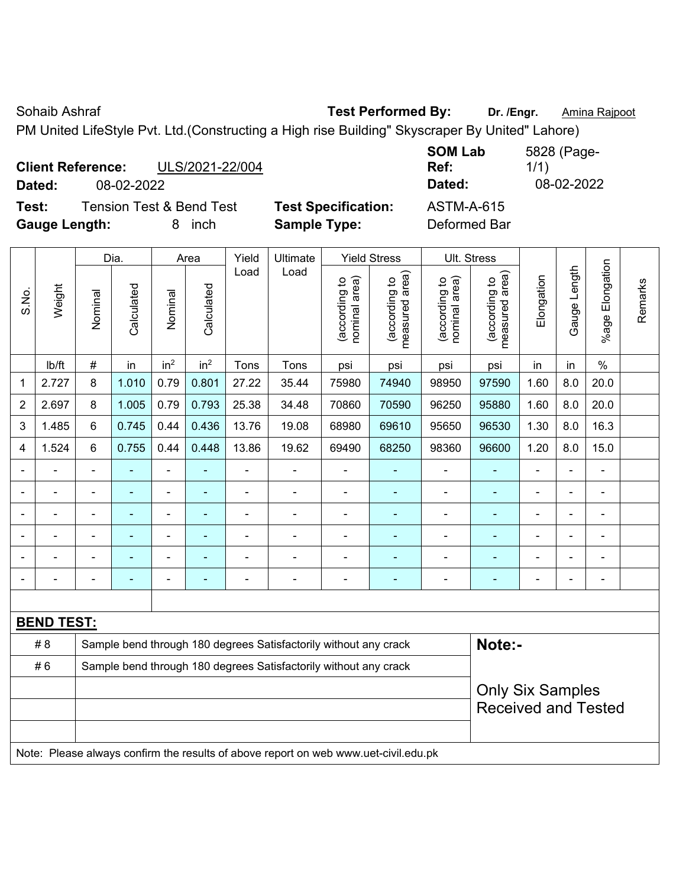Sohaib Ashraf **Test Performed By:** Dr. /Engr. **Amina Rajpoot Test Performed By:** Dr. /Engr. **Amina Rajpoot** 

PM United LifeStyle Pvt. Ltd.(Constructing a High rise Building" Skyscraper By United" Lahore)

| <b>Client Reference:</b><br>ULS/2021-22/004  |                            | <b>SOM Lab</b><br>Ref:<br>Dated: | 5828 (Page-<br>1/1)<br>08-02-2022 |
|----------------------------------------------|----------------------------|----------------------------------|-----------------------------------|
| 08-02-2022<br>Dated:                         |                            |                                  |                                   |
| <b>Tension Test &amp; Bend Test</b><br>Test: | <b>Test Specification:</b> | <b>ASTM-A-615</b>                |                                   |
| <b>Gauge Length:</b><br>inch                 | <b>Sample Type:</b>        | Deformed Bar                     |                                   |

|                |                   |                | Dia.           |                                                                  | Area            | Yield          | Ultimate                                                                            |                                | <b>Yield Stress</b>             |                                | Ult. Stress                                           |            |                |                           |         |
|----------------|-------------------|----------------|----------------|------------------------------------------------------------------|-----------------|----------------|-------------------------------------------------------------------------------------|--------------------------------|---------------------------------|--------------------------------|-------------------------------------------------------|------------|----------------|---------------------------|---------|
| S.No.          | Weight            | Nominal        | Calculated     | Nominal                                                          | Calculated      | Load           | Load                                                                                | nominal area)<br>(according to | (according to<br>measured area) | (according to<br>nominal area) | (according to<br>measured area)                       | Elongation | Gauge Length   | Elongation<br>$%$ age $ $ | Remarks |
|                | Ib/ft             | $\#$           | in             | in <sup>2</sup>                                                  | in <sup>2</sup> | Tons           | Tons                                                                                | psi                            | psi                             | psi                            | psi                                                   | in         | in             | $\frac{0}{0}$             |         |
| 1              | 2.727             | 8              | 1.010          | 0.79                                                             | 0.801           | 27.22          | 35.44                                                                               | 75980                          | 74940                           | 98950                          | 97590                                                 | 1.60       | 8.0            | 20.0                      |         |
| $\overline{2}$ | 2.697             | 8              | 1.005          | 0.79                                                             | 0.793           | 25.38          | 34.48                                                                               | 70860                          | 70590                           | 96250                          | 95880                                                 | 1.60       | 8.0            | 20.0                      |         |
| 3              | 1.485             | 6              | 0.745          | 0.44                                                             | 0.436           | 13.76          | 19.08                                                                               | 68980                          | 69610                           | 95650                          | 96530                                                 | 1.30       | 8.0            | 16.3                      |         |
| 4              | 1.524             | 6              | 0.755          | 0.44                                                             | 0.448           | 13.86          | 19.62                                                                               | 69490                          | 68250                           | 98360                          | 96600                                                 | 1.20       | 8.0            | 15.0                      |         |
|                |                   | $\blacksquare$ | $\blacksquare$ | $\blacksquare$                                                   | $\blacksquare$  | ä,             | ä,                                                                                  | $\blacksquare$                 | $\blacksquare$                  | $\blacksquare$                 | $\blacksquare$                                        |            | $\blacksquare$ | $\blacksquare$            |         |
|                |                   | $\blacksquare$ | $\blacksquare$ | $\blacksquare$                                                   | $\blacksquare$  | $\blacksquare$ | $\blacksquare$                                                                      | $\blacksquare$                 | $\blacksquare$                  | $\blacksquare$                 | $\blacksquare$                                        |            |                | $\blacksquare$            |         |
|                | $\blacksquare$    | $\blacksquare$ | $\blacksquare$ | $\overline{\phantom{a}}$                                         | $\blacksquare$  | ä,             | ÷                                                                                   | $\blacksquare$                 | $\blacksquare$                  | $\blacksquare$                 | ä,                                                    |            | ä,             | $\blacksquare$            |         |
|                |                   |                |                | $\blacksquare$                                                   |                 |                |                                                                                     | ä,                             | $\blacksquare$                  | $\blacksquare$                 |                                                       |            |                | $\blacksquare$            |         |
|                |                   |                |                |                                                                  |                 |                |                                                                                     |                                | $\blacksquare$                  | ۳                              |                                                       |            |                |                           |         |
|                |                   |                |                |                                                                  |                 |                | $\blacksquare$                                                                      | Ē,                             | Ē.                              |                                |                                                       |            |                |                           |         |
|                |                   |                |                |                                                                  |                 |                |                                                                                     |                                |                                 |                                |                                                       |            |                |                           |         |
|                | <b>BEND TEST:</b> |                |                |                                                                  |                 |                |                                                                                     |                                |                                 |                                |                                                       |            |                |                           |         |
|                | #8                |                |                |                                                                  |                 |                | Sample bend through 180 degrees Satisfactorily without any crack                    |                                |                                 |                                | Note:-                                                |            |                |                           |         |
|                | #6                |                |                | Sample bend through 180 degrees Satisfactorily without any crack |                 |                |                                                                                     |                                |                                 |                                |                                                       |            |                |                           |         |
|                |                   |                |                |                                                                  |                 |                |                                                                                     |                                |                                 |                                | <b>Only Six Samples</b><br><b>Received and Tested</b> |            |                |                           |         |
|                |                   |                |                |                                                                  |                 |                | Note: Please always confirm the results of above report on web www.uet-civil.edu.pk |                                |                                 |                                |                                                       |            |                |                           |         |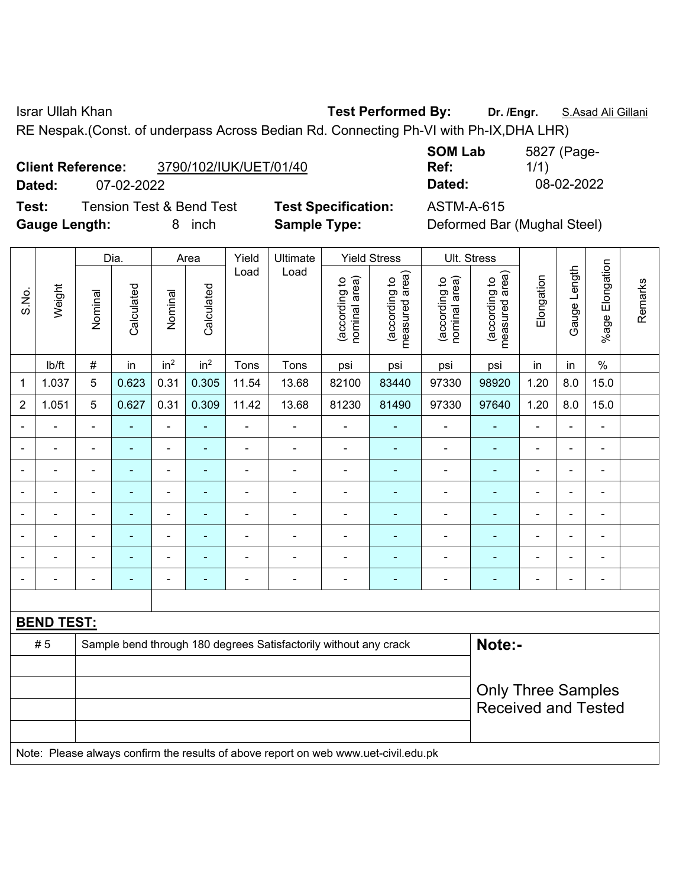Israr Ullah Khan **Test Performed By: Dr. /Engr.** S.Asad Ali Gillani

RE Nespak.(Const. of underpass Across Bedian Rd. Connecting Ph-VI with Ph-IX,DHA LHR)

| <b>Client Reference:</b> | 3790/102/IUK/UET/01/40 |
|--------------------------|------------------------|
|                          |                        |

**Test:** Tension Test & Bend Test **Test Specification:** ASTM-A-615 **Gauge Length:** 8 inch **Sample Type:** Deformed Bar (Mughal Steel)

**SOM Lab Ref:**  5827 (Page-1/1) **Dated:** 07-02-2022 **Dated:** 08-02-2022

|                |                   |                           | Dia.                     |                              | Area                     | Yield          | Ultimate                                                                            |                                | <b>Yield Stress</b>             |                                | Ult. Stress                     |                          |              |                          |         |
|----------------|-------------------|---------------------------|--------------------------|------------------------------|--------------------------|----------------|-------------------------------------------------------------------------------------|--------------------------------|---------------------------------|--------------------------------|---------------------------------|--------------------------|--------------|--------------------------|---------|
| S.No.          | Weight            | Nominal                   | Calculated               | Nominal                      | Calculated               | Load           | Load                                                                                | (according to<br>nominal area) | (according to<br>measured area) | nominal area)<br>(according to | measured area)<br>(according to | Elongation               | Gauge Length | %age Elongation          | Remarks |
|                | lb/ft             | $\#$                      | in                       | in <sup>2</sup>              | in <sup>2</sup>          | Tons           | Tons                                                                                | psi                            | psi                             | psi                            | psi                             | in                       | in           | $\frac{0}{0}$            |         |
| $\mathbf 1$    | 1.037             | 5                         | 0.623                    | 0.31                         | 0.305                    | 11.54          | 13.68                                                                               | 82100                          | 83440                           | 97330                          | 98920                           | 1.20                     | 8.0          | 15.0                     |         |
| $\overline{2}$ | 1.051             | 5                         | 0.627                    | 0.31                         | 0.309                    | 11.42          | 13.68                                                                               | 81230                          | 81490                           | 97330                          | 97640                           | 1.20                     | 8.0          | 15.0                     |         |
|                |                   |                           |                          | $\blacksquare$               | ۰                        |                | $\blacksquare$                                                                      |                                |                                 |                                |                                 | $\blacksquare$           | L,           | $\blacksquare$           |         |
|                |                   |                           | ÷                        | ۰                            | $\overline{\phantom{0}}$ | ۰              | $\overline{\phantom{a}}$                                                            | $\blacksquare$                 | $\blacksquare$                  | $\blacksquare$                 | $\blacksquare$                  | $\overline{\phantom{0}}$ | ä,           | $\overline{\phantom{a}}$ |         |
| $\blacksquare$ | $\blacksquare$    | $\overline{\phantom{a}}$  | ä,                       | $\qquad \qquad \blacksquare$ | ÷                        | $\blacksquare$ | $\blacksquare$                                                                      | $\blacksquare$                 | ۰                               | ÷,                             | $\blacksquare$                  | ÷,                       | L.           | $\blacksquare$           |         |
|                |                   | $\overline{\phantom{a}}$  | ۰                        | $\qquad \qquad \blacksquare$ | ۰                        | $\blacksquare$ | $\blacksquare$                                                                      | $\blacksquare$                 | ۰                               | $\blacksquare$                 | $\blacksquare$                  | $\blacksquare$           | ä,           | $\blacksquare$           |         |
|                |                   | $\overline{\phantom{a}}$  | ä,                       | $\blacksquare$               | ÷                        | $\blacksquare$ | ÷.                                                                                  | $\blacksquare$                 | ÷,                              | $\blacksquare$                 | $\blacksquare$                  | $\blacksquare$           | ä,           | $\blacksquare$           |         |
|                |                   | ٠                         |                          | $\blacksquare$               | ۰                        | $\blacksquare$ |                                                                                     |                                |                                 |                                | $\blacksquare$                  |                          |              | $\blacksquare$           |         |
|                |                   |                           |                          |                              |                          |                |                                                                                     |                                |                                 |                                |                                 |                          |              |                          |         |
|                |                   |                           | $\overline{\phantom{0}}$ | ۰                            | $\overline{\phantom{0}}$ | $\blacksquare$ | $\blacksquare$                                                                      | $\overline{\phantom{0}}$       | $\overline{\phantom{0}}$        | $\blacksquare$                 | $\blacksquare$                  | $\overline{\phantom{0}}$ | ä,           | $\blacksquare$           |         |
|                |                   |                           |                          |                              |                          |                |                                                                                     |                                |                                 |                                |                                 |                          |              |                          |         |
|                | <b>BEND TEST:</b> |                           |                          |                              |                          |                |                                                                                     |                                |                                 |                                |                                 |                          |              |                          |         |
|                | #5                |                           |                          |                              |                          |                | Sample bend through 180 degrees Satisfactorily without any crack                    |                                |                                 |                                | Note:-                          |                          |              |                          |         |
|                |                   |                           |                          |                              |                          |                |                                                                                     |                                |                                 |                                |                                 |                          |              |                          |         |
|                |                   | <b>Only Three Samples</b> |                          |                              |                          |                |                                                                                     |                                |                                 |                                |                                 |                          |              |                          |         |
|                |                   |                           |                          |                              |                          |                |                                                                                     |                                |                                 |                                | <b>Received and Tested</b>      |                          |              |                          |         |
|                |                   |                           |                          |                              |                          |                |                                                                                     |                                |                                 |                                |                                 |                          |              |                          |         |
|                |                   |                           |                          |                              |                          |                | Note: Please always confirm the results of above report on web www.uet-civil.edu.pk |                                |                                 |                                |                                 |                          |              |                          |         |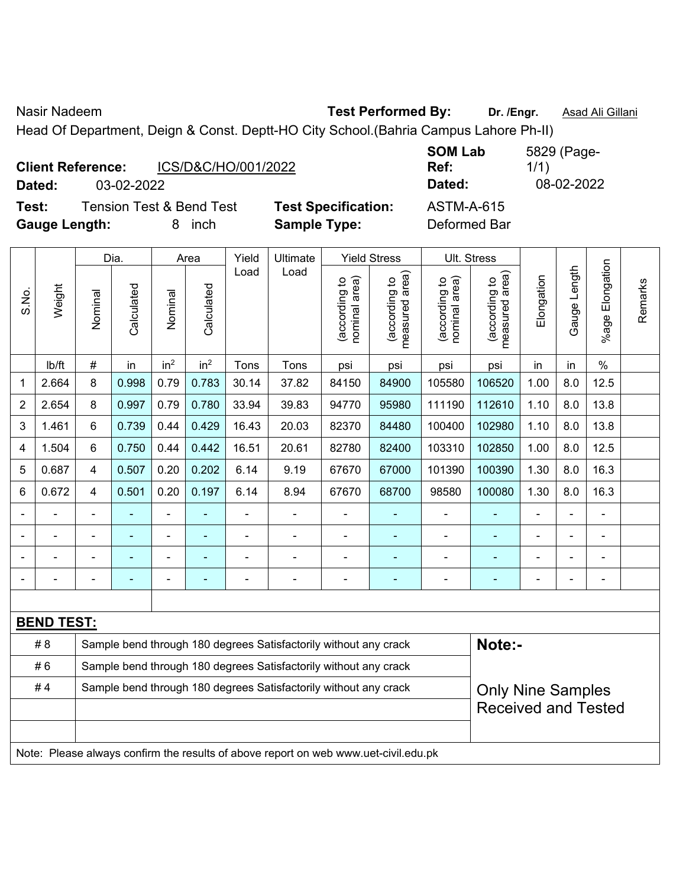Nasir Nadeem **Test Performed By:** Dr. /Engr. **Asad Ali Gillani** Associates Associates Associates Associates Associates Associates Associates Associates Associates Associates Associates Associates Associates Associates Asso

Head Of Department, Deign & Const. Deptt-HO City School.(Bahria Campus Lahore Ph-II)

|        | <b>Client Reference:</b> | ICS/D&C/HO/001/2022                 |      |  |  |
|--------|--------------------------|-------------------------------------|------|--|--|
| Dated: | 03-02-2022               |                                     |      |  |  |
| Test:  |                          | <b>Tension Test &amp; Bend Test</b> | Test |  |  |

Specification: **ASTM-A-615 Gauge Length:** 8 inch **Sample Type:** Deformed Bar

**SOM Lab Ref:**  5829 (Page-1/1) **Dated:** 03-02-2022 **Dated:** 08-02-2022

|                                                                        |                   | Dia.           |                                                                  | Area            |                 | Yield | Ultimate | <b>Yield Stress</b>            |                                 | Ult. Stress                    |                                    |                              |                              |                       |         |
|------------------------------------------------------------------------|-------------------|----------------|------------------------------------------------------------------|-----------------|-----------------|-------|----------|--------------------------------|---------------------------------|--------------------------------|------------------------------------|------------------------------|------------------------------|-----------------------|---------|
| S.No.                                                                  | Weight            | Nominal        | Calculated                                                       | Nominal         | Calculated      | Load  | Load     | nominal area)<br>(according to | measured area)<br>(according to | (according to<br>nominal area) | area)<br>(according to<br>measured | Elongation                   | Length<br>Gauge I            | Elongation<br>$%$ age | Remarks |
|                                                                        | lb/ft             | #              | in                                                               | in <sup>2</sup> | in <sup>2</sup> | Tons  | Tons     | psi                            | psi                             | psi                            | psi                                | in                           | in                           | $\%$                  |         |
| 1                                                                      | 2.664             | 8              | 0.998                                                            | 0.79            | 0.783           | 30.14 | 37.82    | 84150                          | 84900                           | 105580                         | 106520                             | 1.00                         | 8.0                          | 12.5                  |         |
| $\overline{2}$                                                         | 2.654             | 8              | 0.997                                                            | 0.79            | 0.780           | 33.94 | 39.83    | 94770                          | 95980                           | 111190                         | 112610                             | 1.10                         | 8.0                          | 13.8                  |         |
| 3                                                                      | 1.461             | 6              | 0.739                                                            | 0.44            | 0.429           | 16.43 | 20.03    | 82370                          | 84480                           | 100400                         | 102980                             | 1.10                         | 8.0                          | 13.8                  |         |
| 4                                                                      | 1.504             | 6              | 0.750                                                            | 0.44            | 0.442           | 16.51 | 20.61    | 82780                          | 82400                           | 103310                         | 102850                             | 1.00                         | 8.0                          | 12.5                  |         |
| 5                                                                      | 0.687             | 4              | 0.507                                                            | 0.20            | 0.202           | 6.14  | 9.19     | 67670                          | 67000                           | 101390                         | 100390                             | 1.30                         | 8.0                          | 16.3                  |         |
| 6                                                                      | 0.672             | 4              | 0.501                                                            | 0.20            | 0.197           | 6.14  | 8.94     | 67670                          | 68700                           | 98580                          | 100080                             | 1.30                         | 8.0                          | 16.3                  |         |
|                                                                        |                   |                |                                                                  |                 |                 |       |          |                                |                                 |                                |                                    | ۰                            |                              |                       |         |
|                                                                        |                   | $\blacksquare$ |                                                                  |                 |                 |       |          |                                |                                 |                                |                                    | ۰                            | $\blacksquare$               |                       |         |
|                                                                        |                   |                |                                                                  |                 |                 |       |          |                                |                                 |                                |                                    | ۰                            |                              |                       |         |
|                                                                        |                   |                |                                                                  |                 |                 |       |          | ۰                              |                                 |                                |                                    | $\qquad \qquad \blacksquare$ | $\qquad \qquad \blacksquare$ |                       |         |
|                                                                        |                   |                |                                                                  |                 |                 |       |          |                                |                                 |                                |                                    |                              |                              |                       |         |
|                                                                        | <b>BEND TEST:</b> |                |                                                                  |                 |                 |       |          |                                |                                 |                                |                                    |                              |                              |                       |         |
| #8<br>Sample bend through 180 degrees Satisfactorily without any crack |                   |                |                                                                  |                 |                 |       |          |                                |                                 |                                | Note:-                             |                              |                              |                       |         |
|                                                                        | #6                |                | Sample bend through 180 degrees Satisfactorily without any crack |                 |                 |       |          |                                |                                 |                                |                                    |                              |                              |                       |         |

| <b>Only Nine Samples</b> |
|--------------------------|
| Received and Tested      |

Note: Please always confirm the results of above report on web www.uet-civil.edu.pk

#4 | Sample bend through 180 degrees Satisfactorily without any crack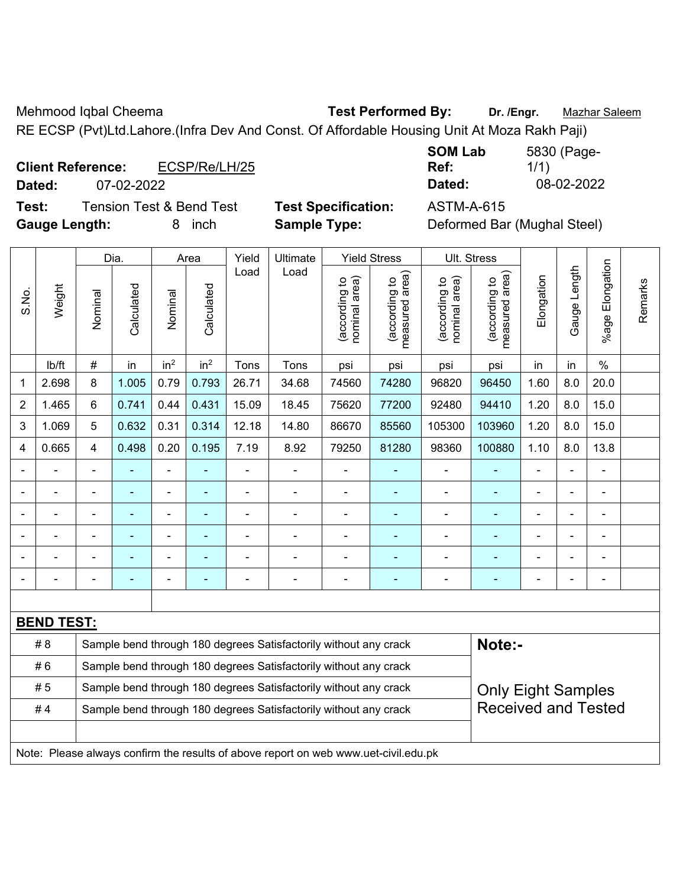Mehmood Iqbal Cheema **Test Performed By: Dr. /Engr.** Mazhar Saleem

RE ECSP (Pvt)Ltd.Lahore.(Infra Dev And Const. Of Affordable Housing Unit At Moza Rakh Paji)

|                          | <b>Client Reference:</b><br>ECSP/Re/LH/25 |                        | Ref:   | 1/1        |
|--------------------------|-------------------------------------------|------------------------|--------|------------|
| Dated:                   | 07-02-2022                                |                        | Dated: | 08-02-2022 |
| <b>The Second Second</b> | T TIOPITI                                 | ______________________ |        |            |

| <b>SOM Lab</b> | 5830 (Page- |
|----------------|-------------|
| Ref:           | 1/1)        |
| Dated:         | 08-02-2022  |

**Test:** Tension Test & Bend Test **Test Specification:** ASTM-A-615 **Gauge Length:** 8 inch **Sample Type:** Deformed Bar (Mughal Steel)

|              | <b>Test Specification:</b> |  |
|--------------|----------------------------|--|
| Sample Type: |                            |  |

|                                                                        |                   |                                                                  | Dia.                     |                 | Area                     |       | Yield<br>Ultimate                                                                   |                                | <b>Yield Stress</b>             |                                | Ult. Stress                     |                                                    |              |                          |         |
|------------------------------------------------------------------------|-------------------|------------------------------------------------------------------|--------------------------|-----------------|--------------------------|-------|-------------------------------------------------------------------------------------|--------------------------------|---------------------------------|--------------------------------|---------------------------------|----------------------------------------------------|--------------|--------------------------|---------|
| S.No.                                                                  | Weight            | Nominal                                                          | Calculated               | Nominal         | Calculated               | Load  | Load                                                                                | nominal area)<br>(according to | (according to<br>measured area) | nominal area)<br>(according to | measured area)<br>(according to | Elongation                                         | Gauge Length | Elongation<br>$%$ age    | Remarks |
|                                                                        | lb/ft             | $\#$                                                             | in                       | in <sup>2</sup> | in <sup>2</sup>          | Tons  | Tons                                                                                | psi                            | psi                             | psi                            | psi                             | in                                                 | in           | $\%$                     |         |
| 1                                                                      | 2.698             | 8                                                                | 1.005                    | 0.79            | 0.793                    | 26.71 | 34.68                                                                               | 74560                          | 74280                           | 96820                          | 96450                           | 1.60                                               | 8.0          | 20.0                     |         |
| $\overline{2}$                                                         | 1.465             | 6                                                                | 0.741                    | 0.44            | 0.431                    | 15.09 | 18.45                                                                               | 75620                          | 77200                           | 92480                          | 94410                           | 1.20                                               | 8.0          | 15.0                     |         |
| 3                                                                      | 1.069             | 5                                                                | 0.632                    | 0.31            | 0.314                    | 12.18 | 14.80                                                                               | 86670                          | 85560                           | 105300                         | 103960                          | 1.20                                               | 8.0          | 15.0                     |         |
| 4                                                                      | 0.665             | 4                                                                | 0.498                    | 0.20            | 0.195                    | 7.19  | 8.92                                                                                | 79250                          | 81280                           | 98360                          | 100880                          | 1.10                                               | 8.0          | 13.8                     |         |
|                                                                        |                   |                                                                  | $\blacksquare$           | $\blacksquare$  | ä,                       | L,    | $\blacksquare$                                                                      | $\blacksquare$                 | $\blacksquare$                  | $\blacksquare$                 | ÷                               | $\blacksquare$                                     | ä,           | $\blacksquare$           |         |
| $\blacksquare$                                                         | $\blacksquare$    | $\blacksquare$                                                   | $\overline{\phantom{0}}$ | ÷,              | $\overline{\phantom{a}}$ | L,    | $\blacksquare$                                                                      | $\overline{\phantom{a}}$       | $\blacksquare$                  | $\blacksquare$                 | $\blacksquare$                  | ÷                                                  | ÷,           | $\overline{\phantom{a}}$ |         |
|                                                                        | $\blacksquare$    | $\blacksquare$                                                   | ÷                        | $\frac{1}{2}$   | $\overline{\phantom{a}}$ | -     | ÷                                                                                   | $\overline{\phantom{a}}$       | $\blacksquare$                  | $\blacksquare$                 | ÷                               | $\blacksquare$<br>$\blacksquare$<br>$\blacksquare$ |              |                          |         |
|                                                                        |                   |                                                                  | ÷                        | ÷               |                          | L,    | ä,                                                                                  | Ē,                             | $\blacksquare$                  | ä,                             | ä,                              |                                                    | ÷            | $\blacksquare$           |         |
|                                                                        |                   |                                                                  | ۰                        | $\blacksquare$  |                          |       |                                                                                     | Ē,                             | $\blacksquare$                  | Ē,                             |                                 |                                                    |              | $\blacksquare$           |         |
|                                                                        |                   |                                                                  |                          |                 |                          |       |                                                                                     |                                |                                 |                                |                                 |                                                    |              | Ē,                       |         |
|                                                                        |                   |                                                                  |                          |                 |                          |       |                                                                                     |                                |                                 |                                |                                 |                                                    |              |                          |         |
|                                                                        | <b>BEND TEST:</b> |                                                                  |                          |                 |                          |       |                                                                                     |                                |                                 |                                |                                 |                                                    |              |                          |         |
|                                                                        | # 8               |                                                                  |                          |                 |                          |       | Sample bend through 180 degrees Satisfactorily without any crack                    |                                |                                 |                                | Note:-                          |                                                    |              |                          |         |
|                                                                        | #6                |                                                                  |                          |                 |                          |       | Sample bend through 180 degrees Satisfactorily without any crack                    |                                |                                 |                                |                                 |                                                    |              |                          |         |
|                                                                        | #5                | Sample bend through 180 degrees Satisfactorily without any crack |                          |                 |                          |       |                                                                                     |                                |                                 | <b>Only Eight Samples</b>      |                                 |                                                    |              |                          |         |
| #4<br>Sample bend through 180 degrees Satisfactorily without any crack |                   |                                                                  |                          |                 |                          |       |                                                                                     | <b>Received and Tested</b>     |                                 |                                |                                 |                                                    |              |                          |         |
|                                                                        |                   |                                                                  |                          |                 |                          |       |                                                                                     |                                |                                 |                                |                                 |                                                    |              |                          |         |
|                                                                        |                   |                                                                  |                          |                 |                          |       | Note: Please always confirm the results of above report on web www.uet-civil.edu.pk |                                |                                 |                                |                                 |                                                    |              |                          |         |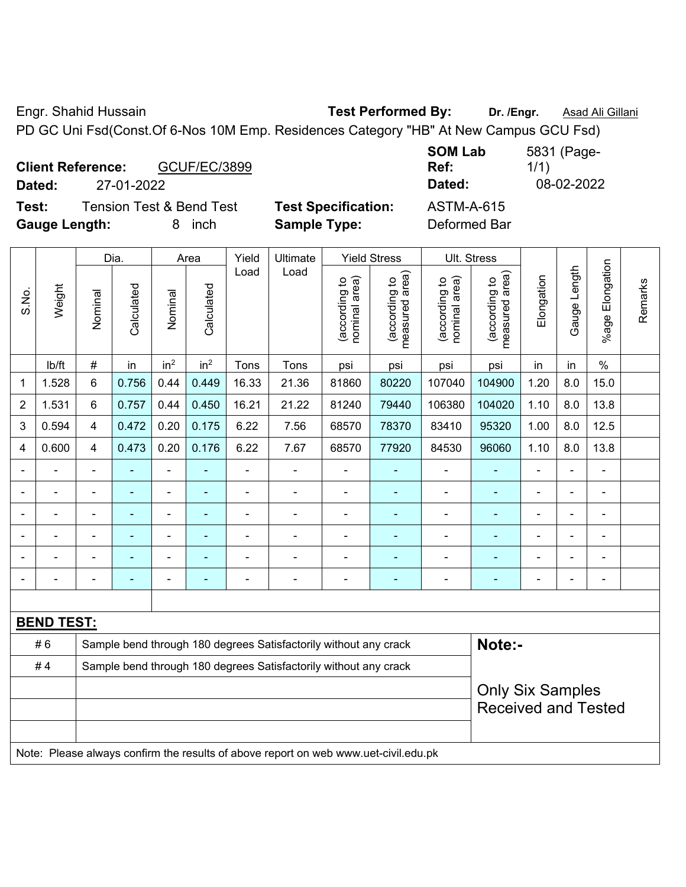Engr. Shahid Hussain **Test Performed By:** Dr. /Engr. **Asad Ali Gillani** 

PD GC Uni Fsd(Const.Of 6-Nos 10M Emp. Residences Category "HB" At New Campus GCU Fsd)

| <b>Client Reference:</b><br><b>GCUF/EC/3899</b><br>27-01-2022<br>Dated: |                            | <b>SOM Lab</b><br>Ref:<br>Dated: | 5831 (Page-<br>1/1<br>08-02-2022 |
|-------------------------------------------------------------------------|----------------------------|----------------------------------|----------------------------------|
| <b>Tension Test &amp; Bend Test</b><br>Test:                            | <b>Test Specification:</b> | <b>ASTM-A-615</b>                |                                  |
| <b>Gauge Length:</b><br><i>inch</i>                                     | <b>Sample Type:</b>        | Deformed Bar                     |                                  |

|       |                   | <b>Yield Stress</b><br>Dia.<br>Yield<br>Ultimate<br>Ult. Stress<br>Area             |                |                 |                 |                                                                  |                                                                  |                                |                                 |                                |                                 |                |                |                         |         |
|-------|-------------------|-------------------------------------------------------------------------------------|----------------|-----------------|-----------------|------------------------------------------------------------------|------------------------------------------------------------------|--------------------------------|---------------------------------|--------------------------------|---------------------------------|----------------|----------------|-------------------------|---------|
| S.No. | Weight            | Nominal                                                                             | Calculated     | Nominal         | Calculated      | Load                                                             | Load                                                             | nominal area)<br>(according to | (according to<br>measured area) | nominal area)<br>(according to | measured area)<br>(according to | Elongation     | Gauge Length   | Elongation<br>$%$ age I | Remarks |
|       | lb/ft             | $\#$                                                                                | in             | in <sup>2</sup> | in <sup>2</sup> | Tons                                                             | Tons                                                             | psi                            | psi                             | psi                            | psi                             | in             | in             | $\%$                    |         |
| 1     | 1.528             | 6                                                                                   | 0.756          | 0.44            | 0.449           | 16.33                                                            | 21.36                                                            | 81860                          | 80220                           | 107040                         | 104900                          | 1.20           | 8.0            | 15.0                    |         |
| 2     | 1.531             | 6                                                                                   | 0.757          | 0.44            | 0.450           | 16.21                                                            | 21.22                                                            | 81240                          | 79440                           | 106380                         | 104020                          | 1.10           | 8.0            | 13.8                    |         |
| 3     | 0.594             | 4                                                                                   | 0.472          | 0.20            | 0.175           | 6.22                                                             | 7.56                                                             | 68570                          | 78370                           | 83410                          | 95320                           | 1.00           | 8.0            | 12.5                    |         |
| 4     | 0.600             | 4                                                                                   | 0.473          | 0.20            | 0.176           | 6.22                                                             | 7.67                                                             | 68570                          | 77920                           | 84530                          | 96060                           | 1.10           | 8.0            | 13.8                    |         |
|       | $\blacksquare$    | $\blacksquare$                                                                      | $\blacksquare$ | ÷,              |                 | Ē,                                                               | $\blacksquare$                                                   | $\blacksquare$                 | $\overline{\phantom{a}}$        | $\blacksquare$                 |                                 | $\blacksquare$ | L,             | ä,                      |         |
|       | $\blacksquare$    | $\blacksquare$                                                                      | $\blacksquare$ | ÷,              | ٠               | L,                                                               | $\blacksquare$                                                   | $\blacksquare$                 | $\blacksquare$                  | $\blacksquare$                 | $\blacksquare$                  |                | ä,             | $\blacksquare$          |         |
|       | $\blacksquare$    |                                                                                     | $\blacksquare$ | ä,              | ٠               |                                                                  | $\blacksquare$                                                   | $\blacksquare$                 | $\blacksquare$                  | $\blacksquare$                 | ۰                               | ۳              |                | $\blacksquare$          |         |
|       |                   |                                                                                     |                | ÷               |                 |                                                                  |                                                                  |                                |                                 |                                |                                 |                |                | $\blacksquare$          |         |
|       | $\blacksquare$    |                                                                                     |                | ٠               |                 |                                                                  |                                                                  |                                | $\overline{\phantom{a}}$        |                                |                                 |                | $\blacksquare$ | $\blacksquare$          |         |
|       |                   | $\blacksquare$                                                                      | ۰              | -               | ÷               | Ē,                                                               | $\overline{a}$                                                   | $\blacksquare$                 | $\overline{\phantom{a}}$        | $\blacksquare$                 | $\blacksquare$                  | $\blacksquare$ | ÷,             | $\blacksquare$          |         |
|       |                   |                                                                                     |                |                 |                 |                                                                  |                                                                  |                                |                                 |                                |                                 |                |                |                         |         |
|       | <b>BEND TEST:</b> |                                                                                     |                |                 |                 |                                                                  |                                                                  |                                |                                 |                                |                                 |                |                |                         |         |
|       | #6                |                                                                                     |                |                 |                 |                                                                  | Sample bend through 180 degrees Satisfactorily without any crack |                                |                                 |                                | Note:-                          |                |                |                         |         |
|       | #4                |                                                                                     |                |                 |                 | Sample bend through 180 degrees Satisfactorily without any crack |                                                                  |                                |                                 |                                |                                 |                |                |                         |         |
|       |                   | <b>Only Six Samples</b>                                                             |                |                 |                 |                                                                  |                                                                  |                                |                                 |                                |                                 |                |                |                         |         |
|       |                   |                                                                                     |                |                 |                 |                                                                  |                                                                  |                                |                                 |                                | <b>Received and Tested</b>      |                |                |                         |         |
|       |                   |                                                                                     |                |                 |                 |                                                                  |                                                                  |                                |                                 |                                |                                 |                |                |                         |         |
|       |                   | Note: Please always confirm the results of above report on web www.uet-civil.edu.pk |                |                 |                 |                                                                  |                                                                  |                                |                                 |                                |                                 |                |                |                         |         |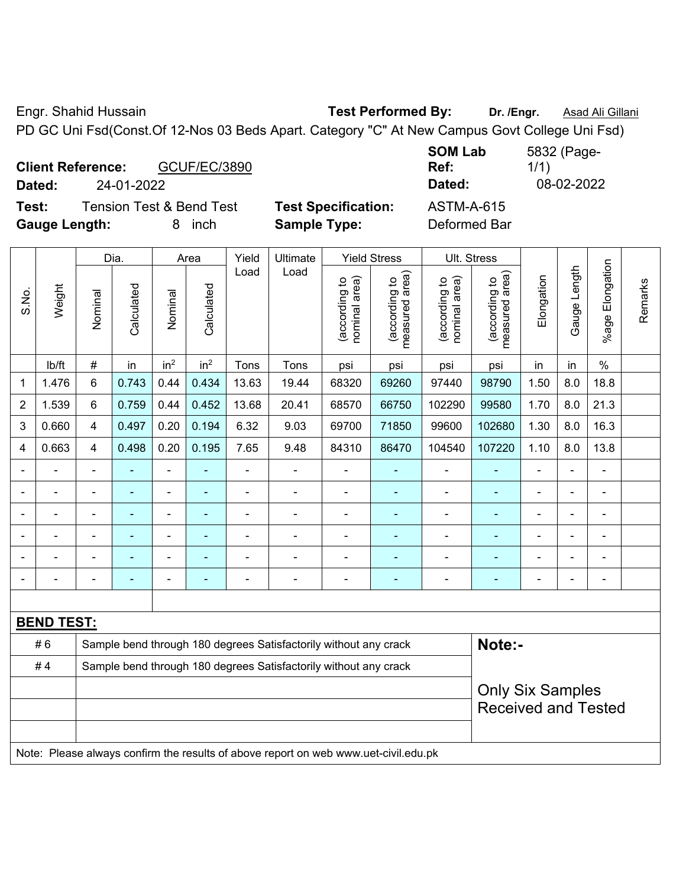Engr. Shahid Hussain **Test Performed By:** Dr. /Engr. **Asad Ali Gillani Engr.** Asad Ali Gillani PD GC Uni Fsd(Const.Of 12-Nos 03 Beds Apart. Category "C" At New Campus Govt College Uni Fsd)

| <b>Client Reference:</b><br><b>GCUF/EC/3890</b><br>24-01-2022<br>Dated: |                            | <b>SOM Lab</b><br>Ref:<br>Dated: | 5832 (Page-<br>1/1)<br>08-02-2022 |
|-------------------------------------------------------------------------|----------------------------|----------------------------------|-----------------------------------|
| <b>Tension Test &amp; Bend Test</b><br>Test:                            | <b>Test Specification:</b> | <b>ASTM-A-615</b>                |                                   |
| <b>Gauge Length:</b><br>inch                                            | <b>Sample Type:</b>        | Deformed Bar                     |                                   |

|                |                                                                                     |                         | Dia.           |                 | Area            | Yield                                                            | Ultimate                                                         | <b>Yield Stress</b>            | Ult. Stress                     |                                |                                 |                |                |                       |         |
|----------------|-------------------------------------------------------------------------------------|-------------------------|----------------|-----------------|-----------------|------------------------------------------------------------------|------------------------------------------------------------------|--------------------------------|---------------------------------|--------------------------------|---------------------------------|----------------|----------------|-----------------------|---------|
| S.No.          | Weight                                                                              | Nominal                 | Calculated     | Nominal         | Calculated      | Load                                                             | Load                                                             | nominal area)<br>(according to | (according to<br>measured area) | nominal area)<br>(according to | (according to<br>measured area) | Elongation     | Gauge Length   | Elongation<br>$%$ age | Remarks |
|                | lb/ft                                                                               | $\#$                    | in             | in <sup>2</sup> | in <sup>2</sup> | Tons                                                             | Tons                                                             | psi                            | psi                             | psi                            | psi                             | in             | in             | $\%$                  |         |
| 1              | 1.476                                                                               | 6                       | 0.743          | 0.44            | 0.434           | 13.63                                                            | 19.44                                                            | 68320                          | 69260                           | 97440                          | 98790                           | 1.50           | 8.0            | 18.8                  |         |
| $\overline{2}$ | 1.539                                                                               | 6                       | 0.759          | 0.44            | 0.452           | 13.68                                                            | 20.41                                                            | 68570                          | 66750                           | 102290                         | 99580                           | 1.70           | 8.0            | 21.3                  |         |
| 3              | 0.660                                                                               | $\overline{4}$          | 0.497          | 0.20            | 0.194           | 6.32                                                             | 9.03                                                             | 69700                          | 71850                           | 99600                          | 102680                          | 1.30           | 8.0            | 16.3                  |         |
| $\overline{4}$ | 0.663                                                                               | $\overline{4}$          | 0.498          | 0.20            | 0.195           | 7.65                                                             | 9.48                                                             | 84310                          | 86470                           | 104540                         | 107220                          | 1.10           | 8.0            | 13.8                  |         |
|                |                                                                                     | $\blacksquare$          |                | $\blacksquare$  |                 |                                                                  |                                                                  | $\blacksquare$                 | $\blacksquare$                  | $\blacksquare$                 |                                 | ä,             | ÷,             | ä,                    |         |
|                | $\blacksquare$                                                                      | $\blacksquare$          | ä,             | $\blacksquare$  | ÷,              | $\blacksquare$                                                   | ä,                                                               | $\overline{a}$                 | $\blacksquare$                  | $\blacksquare$                 | $\blacksquare$                  | $\blacksquare$ | $\blacksquare$ | $\blacksquare$        |         |
|                |                                                                                     | $\blacksquare$          | $\blacksquare$ | $\blacksquare$  |                 |                                                                  | $\blacksquare$                                                   | $\blacksquare$                 | $\blacksquare$                  | $\blacksquare$                 |                                 | ÷              | $\blacksquare$ | $\blacksquare$        |         |
|                |                                                                                     |                         |                |                 |                 |                                                                  |                                                                  |                                |                                 | $\blacksquare$                 |                                 |                | ÷              | $\overline{a}$        |         |
|                |                                                                                     |                         | $\blacksquare$ | $\blacksquare$  |                 |                                                                  |                                                                  |                                | $\blacksquare$                  |                                |                                 |                | ٠              | $\blacksquare$        |         |
|                |                                                                                     | $\blacksquare$          |                | $\blacksquare$  |                 |                                                                  | ۰                                                                | $\overline{\phantom{0}}$       | $\blacksquare$                  | $\blacksquare$                 |                                 | ÷              | ÷              | $\blacksquare$        |         |
|                |                                                                                     |                         |                |                 |                 |                                                                  |                                                                  |                                |                                 |                                |                                 |                |                |                       |         |
|                | <b>BEND TEST:</b>                                                                   |                         |                |                 |                 |                                                                  |                                                                  |                                |                                 |                                |                                 |                |                |                       |         |
|                | #6                                                                                  |                         |                |                 |                 |                                                                  | Sample bend through 180 degrees Satisfactorily without any crack |                                |                                 |                                | Note:-                          |                |                |                       |         |
|                | #4                                                                                  |                         |                |                 |                 | Sample bend through 180 degrees Satisfactorily without any crack |                                                                  |                                |                                 |                                |                                 |                |                |                       |         |
|                |                                                                                     | <b>Only Six Samples</b> |                |                 |                 |                                                                  |                                                                  |                                |                                 |                                |                                 |                |                |                       |         |
|                |                                                                                     |                         |                |                 |                 |                                                                  |                                                                  |                                |                                 |                                | <b>Received and Tested</b>      |                |                |                       |         |
|                |                                                                                     |                         |                |                 |                 |                                                                  |                                                                  |                                |                                 |                                |                                 |                |                |                       |         |
|                | Note: Please always confirm the results of above report on web www.uet-civil.edu.pk |                         |                |                 |                 |                                                                  |                                                                  |                                |                                 |                                |                                 |                |                |                       |         |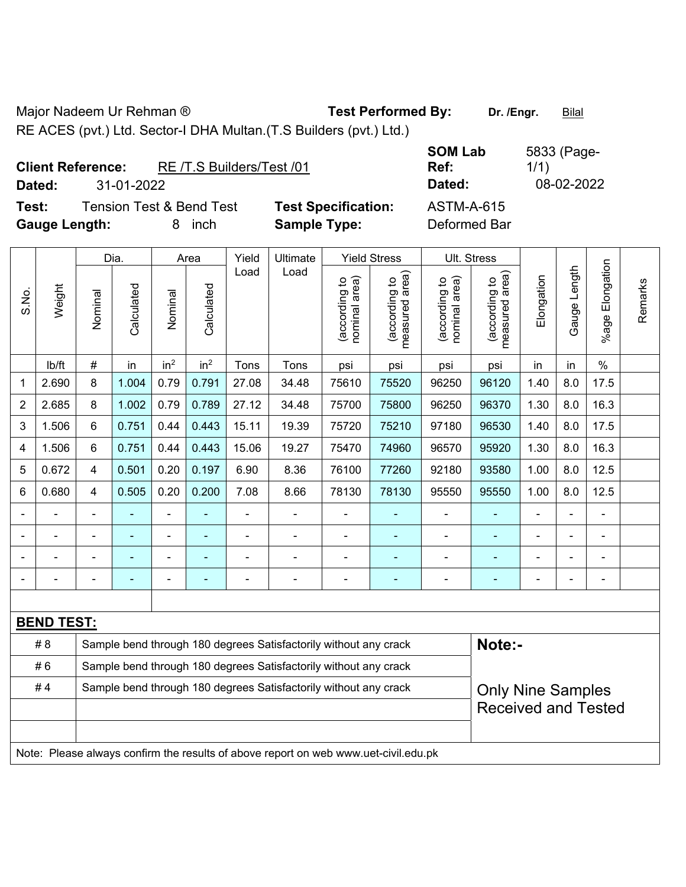Major Nadeem Ur Rehman ® **Test Performed By:** Dr. /Engr. **Bilal** 

RE ACES (pvt.) Ltd. Sector-I DHA Multan.(T.S Builders (pvt.) Ltd.)

|                      | <b>Client Reference:</b> | RE /T.S Builders/Test /01           |                            | <b>SUM LAD</b><br>Ref: |
|----------------------|--------------------------|-------------------------------------|----------------------------|------------------------|
| Dated:               | 31-01-2022               |                                     |                            | Dated:                 |
| Test:                |                          | <b>Tension Test &amp; Bend Test</b> | <b>Test Specification:</b> | <b>ASTM-A-615</b>      |
| <b>Gauge Length:</b> |                          | inch<br>8                           | <b>Sample Type:</b>        | Deformed Bar           |

**SOM Lab Ref:**  5833 (Page-1/1) **Dated:** 31-01-2022 **Dated:** 08-02-2022 **Text:** Test External Test Specification:  $\overline{X}$ 

|                |                                                                                     |                | Dia.           |                 | Area                                                             | Yield |                                                                  | Ult. Stress                    |                                                        |                                |                                 |                |              |                       |         |
|----------------|-------------------------------------------------------------------------------------|----------------|----------------|-----------------|------------------------------------------------------------------|-------|------------------------------------------------------------------|--------------------------------|--------------------------------------------------------|--------------------------------|---------------------------------|----------------|--------------|-----------------------|---------|
| S.No.          | Weight                                                                              | Nominal        | Calculated     | Nominal         | Calculated                                                       | Load  | Ultimate<br>Load                                                 | nominal area)<br>(according to | <b>Yield Stress</b><br>(according to<br>measured area) | nominal area)<br>(according to | (according to<br>measured area) | Elongation     | Gauge Length | Elongation<br>$%$ age | Remarks |
|                | Ib/ft                                                                               | #              | in             | in <sup>2</sup> | in <sup>2</sup>                                                  | Tons  | Tons                                                             | psi                            | psi                                                    | psi                            | psi                             | in             | in           | $\frac{0}{0}$         |         |
| 1              | 2.690                                                                               | 8              | 1.004          | 0.79            | 0.791                                                            | 27.08 | 34.48                                                            | 75610                          | 75520                                                  | 96250                          | 96120                           | 1.40           | 8.0          | 17.5                  |         |
| $\overline{2}$ | 2.685                                                                               | 8              | 1.002          | 0.79            | 0.789                                                            | 27.12 | 34.48                                                            | 75700                          | 75800                                                  | 96250                          | 96370                           | 1.30           | 8.0          | 16.3                  |         |
| 3              | 1.506                                                                               | 6              | 0.751          | 0.44            | 0.443                                                            | 15.11 | 19.39                                                            | 75720                          | 75210                                                  | 97180                          | 96530                           | 1.40           | 8.0          | 17.5                  |         |
| 4              | 1.506                                                                               | $6\phantom{a}$ | 0.751          | 0.44            | 0.443                                                            | 15.06 | 19.27                                                            | 75470                          | 74960                                                  | 96570                          | 95920                           | 1.30           | 8.0          | 16.3                  |         |
| 5              | 0.672                                                                               | $\overline{4}$ | 0.501          | 0.20            | 0.197                                                            | 6.90  | 8.36                                                             | 76100                          | 77260                                                  | 92180                          | 93580                           | 1.00           | 8.0          | 12.5                  |         |
| 6              | 0.680                                                                               | $\overline{4}$ | 0.505          | 0.20            | 0.200                                                            | 7.08  | 8.66                                                             | 78130                          | 78130                                                  | 95550                          | 95550                           | 1.00           | 8.0          | 12.5                  |         |
|                |                                                                                     |                |                |                 |                                                                  |       |                                                                  |                                |                                                        |                                |                                 |                |              |                       |         |
|                |                                                                                     |                |                | ä,              |                                                                  | L,    | $\blacksquare$                                                   |                                | $\overline{\phantom{0}}$                               | $\blacksquare$                 |                                 |                |              | ä,                    |         |
|                |                                                                                     |                |                | ä,              |                                                                  | Ē,    | ÷,                                                               |                                | $\blacksquare$                                         | $\blacksquare$                 |                                 | $\blacksquare$ |              | $\overline{a}$        |         |
|                |                                                                                     |                | $\blacksquare$ | $\blacksquare$  | $\overline{\phantom{a}}$                                         |       | $\blacksquare$                                                   | $\blacksquare$                 | $\overline{\phantom{0}}$                               | $\overline{\phantom{0}}$       | ÷,                              | $\blacksquare$ |              | L,                    |         |
|                |                                                                                     |                |                |                 |                                                                  |       |                                                                  |                                |                                                        |                                |                                 |                |              |                       |         |
|                | <b>BEND TEST:</b>                                                                   |                |                |                 |                                                                  |       |                                                                  |                                |                                                        |                                |                                 |                |              |                       |         |
|                | # 8                                                                                 |                |                |                 |                                                                  |       | Sample bend through 180 degrees Satisfactorily without any crack |                                |                                                        |                                | Note:-                          |                |              |                       |         |
|                | #6                                                                                  |                |                |                 |                                                                  |       | Sample bend through 180 degrees Satisfactorily without any crack |                                |                                                        |                                |                                 |                |              |                       |         |
|                | #4                                                                                  |                |                |                 | Sample bend through 180 degrees Satisfactorily without any crack |       | <b>Only Nine Samples</b>                                         |                                |                                                        |                                |                                 |                |              |                       |         |
|                |                                                                                     |                |                |                 |                                                                  |       |                                                                  |                                |                                                        |                                | <b>Received and Tested</b>      |                |              |                       |         |
|                |                                                                                     |                |                |                 |                                                                  |       |                                                                  |                                |                                                        |                                |                                 |                |              |                       |         |
|                | Note: Please always confirm the results of above report on web www.uet-civil.edu.pk |                |                |                 |                                                                  |       |                                                                  |                                |                                                        |                                |                                 |                |              |                       |         |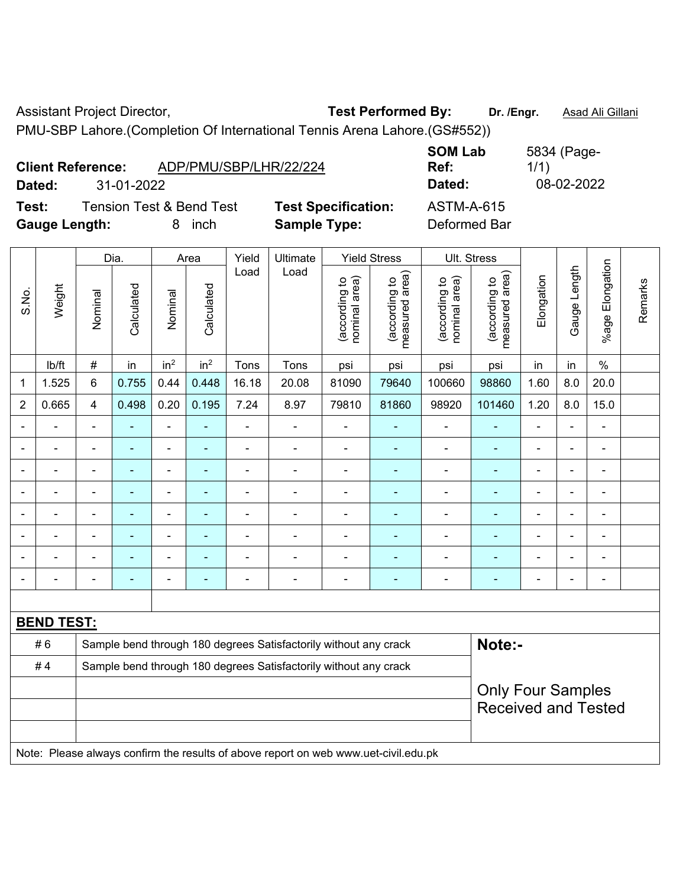Assistant Project Director, **Test Performed By:** Dr. /Engr. **Asad Ali Gillani** 

PMU-SBP Lahore.(Completion Of International Tennis Arena Lahore.(GS#552))

|                      | <b>Client Reference:</b> | ADP/PMU/SBP/LHR/22/224              |                            | <b>SOM Lab</b><br>Ref: | 5834 (Page-<br>1/1) |
|----------------------|--------------------------|-------------------------------------|----------------------------|------------------------|---------------------|
| Dated:               | 31-01-2022               |                                     |                            | Dated:                 | 08-02-2022          |
| Test:                |                          | <b>Tension Test &amp; Bend Test</b> | <b>Test Specification:</b> | <b>ASTM-A-615</b>      |                     |
| <b>Gauge Length:</b> |                          | inch<br>8                           | <b>Sample Type:</b>        | Deformed Bar           |                     |

|                          |                   |                | Dia.           |                              | Area                     | Yield                                                            | Ultimate                                                                            |                                | <b>Yield Stress</b>               |                                | Ult. Stress                     |                          |                              |                           |         |
|--------------------------|-------------------|----------------|----------------|------------------------------|--------------------------|------------------------------------------------------------------|-------------------------------------------------------------------------------------|--------------------------------|-----------------------------------|--------------------------------|---------------------------------|--------------------------|------------------------------|---------------------------|---------|
| S.No.                    | Weight            | Nominal        | Calculated     | Nominal                      | Calculated               | Load                                                             | Load                                                                                | nominal area)<br>(according to | (according to  <br>measured area) | nominal area)<br>(according to | (according to<br>measured area) | Elongation               | Gauge Length                 | Elongation<br>$%$ age $ $ | Remarks |
|                          | lb/ft             | $\#$           | in             | in <sup>2</sup>              | in <sup>2</sup>          | Tons                                                             | Tons                                                                                | psi                            | psi                               | psi                            | psi                             | in                       | in                           | $\%$                      |         |
| $\mathbf 1$              | 1.525             | 6              | 0.755          | 0.44                         | 0.448                    | 16.18                                                            | 20.08                                                                               | 81090                          | 79640                             | 100660                         | 98860                           | 1.60                     | 8.0                          | 20.0                      |         |
| $\overline{2}$           | 0.665             | $\overline{4}$ | 0.498          | 0.20                         | 0.195                    | 7.24                                                             | 8.97                                                                                | 79810                          | 81860                             | 98920                          | 101460                          | 1.20                     | 8.0                          | 15.0                      |         |
| $\blacksquare$           | ÷.                | $\blacksquare$ | $\blacksquare$ | ÷,                           | $\blacksquare$           | $\blacksquare$                                                   | $\blacksquare$                                                                      | $\blacksquare$                 | $\blacksquare$                    | $\blacksquare$                 | ٠                               | $\blacksquare$           | ÷,                           | $\blacksquare$            |         |
| $\overline{\phantom{0}}$ | $\blacksquare$    | $\blacksquare$ | ٠              | $\blacksquare$               | $\blacksquare$           | $\blacksquare$                                                   | $\qquad \qquad \blacksquare$                                                        | $\blacksquare$                 | $\blacksquare$                    | $\blacksquare$                 | $\qquad \qquad \blacksquare$    | $\blacksquare$           | $\blacksquare$               | $\blacksquare$            |         |
| $\overline{\phantom{0}}$ | ÷.                | ä,             | ä,             | $\blacksquare$               | ÷,                       | $\blacksquare$                                                   | $\blacksquare$                                                                      | $\blacksquare$                 | $\blacksquare$                    | $\overline{\phantom{a}}$       | ÷                               | $\blacksquare$           | $\blacksquare$               | $\blacksquare$            |         |
| $\blacksquare$           | $\blacksquare$    | $\blacksquare$ | ÷              | $\qquad \qquad \blacksquare$ | $\overline{\phantom{a}}$ | $\blacksquare$                                                   | $\blacksquare$                                                                      | $\blacksquare$                 | $\blacksquare$                    | $\blacksquare$                 | $\blacksquare$                  | $\overline{\phantom{0}}$ | $\qquad \qquad \blacksquare$ | $\overline{\phantom{a}}$  |         |
|                          |                   |                | $\blacksquare$ | $\blacksquare$               | $\blacksquare$           |                                                                  |                                                                                     | $\blacksquare$                 | $\blacksquare$                    | $\blacksquare$                 | ۰                               |                          |                              | $\blacksquare$            |         |
|                          |                   |                |                | ÷                            |                          |                                                                  |                                                                                     | ÷,                             |                                   | $\blacksquare$                 |                                 |                          | L.                           | $\blacksquare$            |         |
| $\overline{\phantom{0}}$ | ۰                 | $\blacksquare$ | $\blacksquare$ | ÷                            |                          |                                                                  | $\blacksquare$                                                                      | $\blacksquare$                 | $\blacksquare$                    | $\blacksquare$                 | $\overline{\phantom{0}}$        |                          | ÷                            | $\blacksquare$            |         |
| $\blacksquare$           | $\blacksquare$    | $\blacksquare$ | $\blacksquare$ | $\blacksquare$               | $\blacksquare$           | $\blacksquare$                                                   | $\blacksquare$                                                                      | $\blacksquare$                 | $\blacksquare$                    | $\blacksquare$                 | $\overline{\phantom{0}}$        | $\blacksquare$           | $\blacksquare$               | $\overline{\phantom{a}}$  |         |
|                          |                   |                |                |                              |                          |                                                                  |                                                                                     |                                |                                   |                                |                                 |                          |                              |                           |         |
|                          | <b>BEND TEST:</b> |                |                |                              |                          |                                                                  |                                                                                     |                                |                                   |                                |                                 |                          |                              |                           |         |
|                          | #6                |                |                |                              |                          |                                                                  | Sample bend through 180 degrees Satisfactorily without any crack                    |                                |                                   |                                | Note:-                          |                          |                              |                           |         |
|                          | #4                |                |                |                              |                          | Sample bend through 180 degrees Satisfactorily without any crack |                                                                                     |                                |                                   |                                |                                 |                          |                              |                           |         |
|                          |                   |                |                |                              |                          | <b>Only Four Samples</b>                                         |                                                                                     |                                |                                   |                                |                                 |                          |                              |                           |         |
|                          |                   |                |                |                              |                          |                                                                  |                                                                                     |                                |                                   |                                | <b>Received and Tested</b>      |                          |                              |                           |         |
|                          |                   |                |                |                              |                          |                                                                  |                                                                                     |                                |                                   |                                |                                 |                          |                              |                           |         |
|                          |                   |                |                |                              |                          |                                                                  | Note: Please always confirm the results of above report on web www.uet-civil.edu.pk |                                |                                   |                                |                                 |                          |                              |                           |         |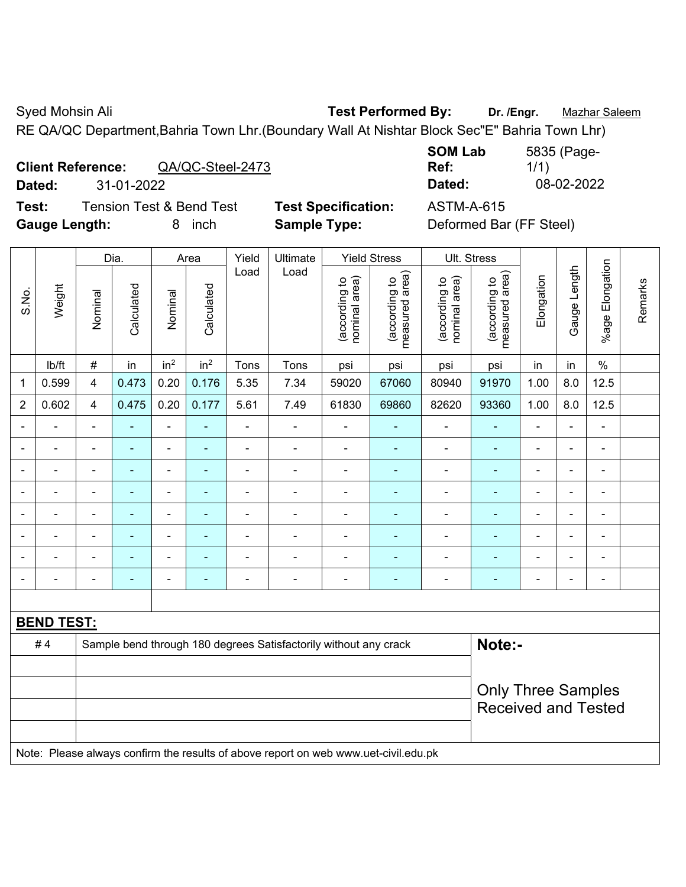Syed Mohsin Ali **Test Performed By:** Dr. /Engr. **Mazhar Saleem** 

RE QA/QC Department,Bahria Town Lhr.(Boundary Wall At Nishtar Block Sec"E" Bahria Town Lhr)

## **Client Reference:** QA/QC-Steel-2473

**Dated:** 31-01-2022 **Dated:** 08-02-2022

**Test:** Tension Test & Bend Test **Test Specification:** ASTM-A-615 **Gauge Length:** 8 inch **Sample Type:** Deformed Bar (FF Steel)

| <b>SOM Lab</b> | 5835 (Page- |
|----------------|-------------|
| Ref:           | 1/1)        |
| Dated:         | 08-02-2022  |
|                |             |

|                |                   |                         | Dia.           |                          | Area            | Yield                    | Ultimate                                                                            | <b>Yield Stress</b>            |                                 | Ult. Stress                    |                                 |                          |                |                 |         |
|----------------|-------------------|-------------------------|----------------|--------------------------|-----------------|--------------------------|-------------------------------------------------------------------------------------|--------------------------------|---------------------------------|--------------------------------|---------------------------------|--------------------------|----------------|-----------------|---------|
| S.No.          | Weight            | Nominal                 | Calculated     | Nominal                  | Calculated      | Load                     | Load                                                                                | nominal area)<br>(according to | measured area)<br>(according to | nominal area)<br>(according to | measured area)<br>(according to | Elongation               | Gauge Length   | %age Elongation | Remarks |
|                | lb/ft             | $\#$                    | in             | in <sup>2</sup>          | in <sup>2</sup> | Tons                     | Tons                                                                                | psi                            | psi                             | psi                            | psi                             | in                       | in             | $\%$            |         |
| 1              | 0.599             | $\overline{\mathbf{4}}$ | 0.473          | 0.20                     | 0.176           | 5.35                     | 7.34                                                                                | 59020                          | 67060                           | 80940                          | 91970                           | 1.00                     | 8.0            | 12.5            |         |
| $\overline{2}$ | 0.602             | 4                       | 0.475          | 0.20                     | 0.177           | 5.61                     | 7.49                                                                                | 61830                          | 69860                           | 82620                          | 93360                           | 1.00                     | 8.0            | 12.5            |         |
|                |                   | $\blacksquare$          |                | $\blacksquare$           | ۰               | $\blacksquare$           |                                                                                     |                                |                                 |                                |                                 | $\blacksquare$           | ä,             | ä,              |         |
| $\blacksquare$ |                   | $\blacksquare$          | $\blacksquare$ | $\overline{\phantom{a}}$ | $\blacksquare$  | $\blacksquare$           | $\blacksquare$                                                                      | $\overline{a}$                 | ۰                               | $\qquad \qquad \blacksquare$   | ٠                               | $\overline{\phantom{0}}$ | $\blacksquare$ | $\blacksquare$  |         |
| $\blacksquare$ |                   | $\blacksquare$          | ٠              | $\overline{a}$           | $\blacksquare$  | $\blacksquare$           | $\overline{\phantom{a}}$                                                            | $\blacksquare$                 | ٠                               | $\blacksquare$                 | $\overline{\phantom{a}}$        | $\overline{a}$           | $\blacksquare$ | $\blacksquare$  |         |
| $\blacksquare$ |                   | $\blacksquare$          |                | $\blacksquare$           | $\blacksquare$  | $\blacksquare$           | $\blacksquare$                                                                      | $\blacksquare$                 | ٠                               | $\blacksquare$                 | Ē,                              | $\blacksquare$           | $\blacksquare$ | $\blacksquare$  |         |
|                |                   | $\blacksquare$          | $\blacksquare$ | $\overline{\phantom{a}}$ | $\blacksquare$  | $\blacksquare$           | $\blacksquare$                                                                      | $\blacksquare$                 | ÷,                              | ۰                              | $\overline{\phantom{a}}$        | $\overline{a}$           | $\blacksquare$ | $\blacksquare$  |         |
|                |                   | L.                      |                | ۰                        |                 |                          | ٠                                                                                   | Ē,                             | ÷                               | ۰                              |                                 |                          | ÷              | $\blacksquare$  |         |
|                |                   |                         |                |                          |                 |                          |                                                                                     |                                |                                 |                                |                                 |                          |                | ٠               |         |
| $\blacksquare$ |                   | $\blacksquare$          | $\blacksquare$ | $\overline{\phantom{0}}$ | ÷               | $\overline{\phantom{0}}$ | ٠                                                                                   | ۰                              | ۰                               | $\qquad \qquad \blacksquare$   | ٠                               | $\overline{\phantom{0}}$ | $\blacksquare$ | $\blacksquare$  |         |
|                |                   |                         |                |                          |                 |                          |                                                                                     |                                |                                 |                                |                                 |                          |                |                 |         |
|                | <b>BEND TEST:</b> |                         |                |                          |                 |                          |                                                                                     |                                |                                 |                                |                                 |                          |                |                 |         |
|                | #4                |                         |                |                          |                 |                          | Sample bend through 180 degrees Satisfactorily without any crack                    |                                |                                 |                                | Note:-                          |                          |                |                 |         |
|                |                   |                         |                |                          |                 |                          |                                                                                     |                                |                                 |                                |                                 |                          |                |                 |         |
|                |                   |                         |                |                          |                 |                          |                                                                                     |                                |                                 |                                | <b>Only Three Samples</b>       |                          |                |                 |         |
|                |                   |                         |                |                          |                 |                          |                                                                                     |                                |                                 |                                | <b>Received and Tested</b>      |                          |                |                 |         |
|                |                   |                         |                |                          |                 |                          |                                                                                     |                                |                                 |                                |                                 |                          |                |                 |         |
|                |                   |                         |                |                          |                 |                          | Note: Please always confirm the results of above report on web www.uet-civil.edu.pk |                                |                                 |                                |                                 |                          |                |                 |         |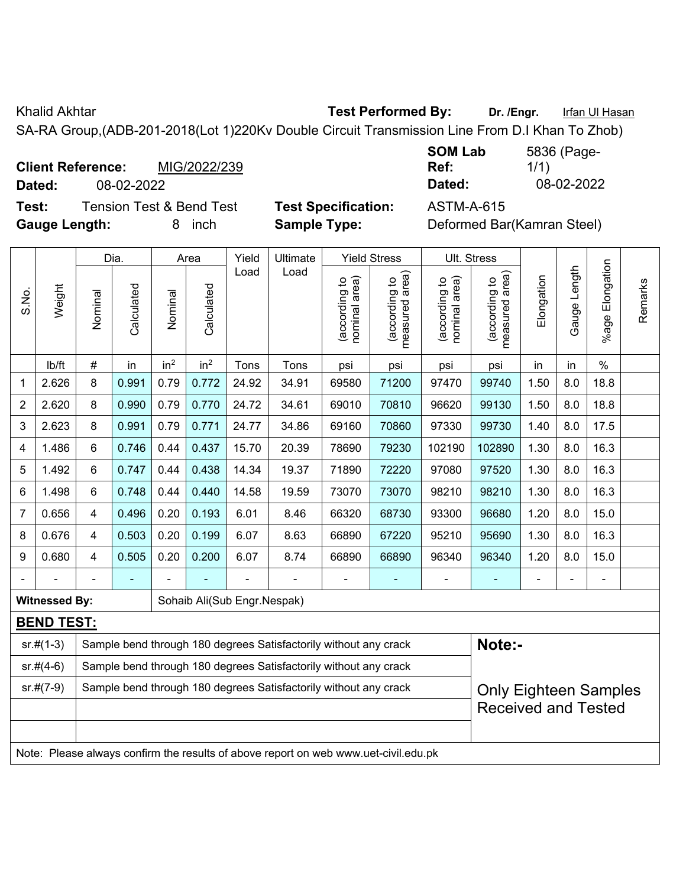Khalid Akhtar **Test Performed By:** Dr. /Engr. **Infan Ul Hasan** 

SA-RA Group,(ADB-201-2018(Lot 1)220Kv Double Circuit Transmission Line From D.I Khan To Zhob)

|        | <b>Client Reference:</b> |            | MIG/2022/239 |
|--------|--------------------------|------------|--------------|
| Dated: |                          | 08-02-2022 |              |
|        |                          | . –        |              |

**SOM Lab Ref:**  5836 (Page-1/1) **Dated:** 08-02-2022 **Dated:** 08-02-2022

**Test:** Tension Test & Bend Test **Test Specification:** ASTM-A-615 **Gauge Length:** 8 inch **Sample Type:** Deformed Bar(Kamran Steel)

| t Specification: |  |
|------------------|--|
| nple Type:       |  |

|                |                                                                                     |                                                                  | Dia.                                                                                        |                 | Area            | Yield                       | Ult. Stress                                                      |                                |                                             |                                |                                 |                |                          |                              |         |
|----------------|-------------------------------------------------------------------------------------|------------------------------------------------------------------|---------------------------------------------------------------------------------------------|-----------------|-----------------|-----------------------------|------------------------------------------------------------------|--------------------------------|---------------------------------------------|--------------------------------|---------------------------------|----------------|--------------------------|------------------------------|---------|
| S.No.          | Weight                                                                              | Nominal                                                          | Calculated                                                                                  | Nominal         | Calculated      | Load                        | Load                                                             | nominal area)<br>(according to | (according to<br>neasured area)<br>measured | nominal area)<br>(according to | (according to<br>measured area) | Elongation     | Gauge Length             | Elongation<br>%age           | Remarks |
|                | lb/ft                                                                               | #                                                                | in                                                                                          | in <sup>2</sup> | in <sup>2</sup> | Tons                        | Tons                                                             | psi                            | psi                                         | psi                            | psi                             | in             | in                       | $\%$                         |         |
| 1              | 2.626                                                                               | 8                                                                | 0.991                                                                                       | 0.79            | 0.772           | 24.92                       | 34.91                                                            | 69580                          | 71200                                       | 97470                          | 99740                           | 1.50           | 8.0                      | 18.8                         |         |
| $\overline{2}$ | 2.620                                                                               | 8                                                                | 0.990                                                                                       | 0.79            | 0.770           | 24.72                       | 34.61                                                            | 69010                          | 70810                                       | 96620                          | 99130                           | 1.50           | 8.0                      | 18.8                         |         |
| 3              | 2.623                                                                               | 8                                                                | 0.991                                                                                       | 0.79            | 0.771           | 24.77                       | 34.86                                                            | 69160                          | 70860                                       | 97330                          | 99730                           | 1.40           | 8.0                      | 17.5                         |         |
| 4              | 1.486                                                                               | 6                                                                | 0.746                                                                                       | 0.44            | 0.437           | 15.70                       | 20.39                                                            | 78690                          | 79230                                       | 102190                         | 102890                          | 1.30           | 8.0                      | 16.3                         |         |
| 5              | 1.492                                                                               | 6                                                                | 0.747                                                                                       | 0.44            | 0.438           | 14.34                       | 19.37                                                            | 71890                          | 72220                                       | 97080                          | 97520                           | 1.30           | 8.0                      | 16.3                         |         |
| 6              | 1.498                                                                               | 6                                                                | 0.44<br>0.440<br>73070<br>73070<br>98210<br>8.0<br>0.748<br>14.58<br>19.59<br>98210<br>1.30 |                 |                 |                             |                                                                  |                                |                                             |                                |                                 |                | 16.3                     |                              |         |
| $\overline{7}$ | 0.656                                                                               | 4                                                                | 0.496                                                                                       | 0.20            | 0.193           | 6.01                        | 8.46                                                             | 66320                          | 68730                                       | 93300                          | 96680                           | 1.20           | 8.0                      | 15.0                         |         |
| 8              | 0.676                                                                               | 4                                                                | 0.503                                                                                       | 0.20            | 0.199           | 6.07                        | 8.63                                                             | 66890                          | 67220                                       | 95210                          | 95690                           | 1.30           | 8.0                      | 16.3                         |         |
| 9              | 0.680                                                                               | 4                                                                | 0.505                                                                                       | 0.20            | 0.200           | 6.07                        | 8.74                                                             | 66890                          | 66890                                       | 96340                          | 96340                           | 1.20           | 8.0                      | 15.0                         |         |
|                |                                                                                     |                                                                  | $\overline{\phantom{0}}$                                                                    |                 |                 | ä,                          | ÷.                                                               | $\overline{a}$                 | ۰                                           | $\overline{a}$                 |                                 | $\blacksquare$ | $\overline{\phantom{0}}$ | $\blacksquare$               |         |
|                | <b>Witnessed By:</b>                                                                |                                                                  |                                                                                             |                 |                 | Sohaib Ali(Sub Engr.Nespak) |                                                                  |                                |                                             |                                |                                 |                |                          |                              |         |
|                | <b>BEND TEST:</b>                                                                   |                                                                  |                                                                                             |                 |                 |                             |                                                                  |                                |                                             |                                |                                 |                |                          |                              |         |
|                | $sr.+$ (1-3)                                                                        |                                                                  |                                                                                             |                 |                 |                             | Sample bend through 180 degrees Satisfactorily without any crack |                                |                                             |                                | Note:-                          |                |                          |                              |         |
|                | $sr.#(4-6)$                                                                         |                                                                  |                                                                                             |                 |                 |                             | Sample bend through 180 degrees Satisfactorily without any crack |                                |                                             |                                |                                 |                |                          |                              |         |
|                | $sr.#(7-9)$                                                                         | Sample bend through 180 degrees Satisfactorily without any crack |                                                                                             |                 |                 |                             |                                                                  |                                |                                             |                                |                                 |                |                          | <b>Only Eighteen Samples</b> |         |
|                |                                                                                     |                                                                  |                                                                                             |                 |                 |                             |                                                                  |                                |                                             |                                | <b>Received and Tested</b>      |                |                          |                              |         |
|                |                                                                                     |                                                                  |                                                                                             |                 |                 |                             |                                                                  |                                |                                             |                                |                                 |                |                          |                              |         |
|                | Note: Please always confirm the results of above report on web www.uet-civil.edu.pk |                                                                  |                                                                                             |                 |                 |                             |                                                                  |                                |                                             |                                |                                 |                |                          |                              |         |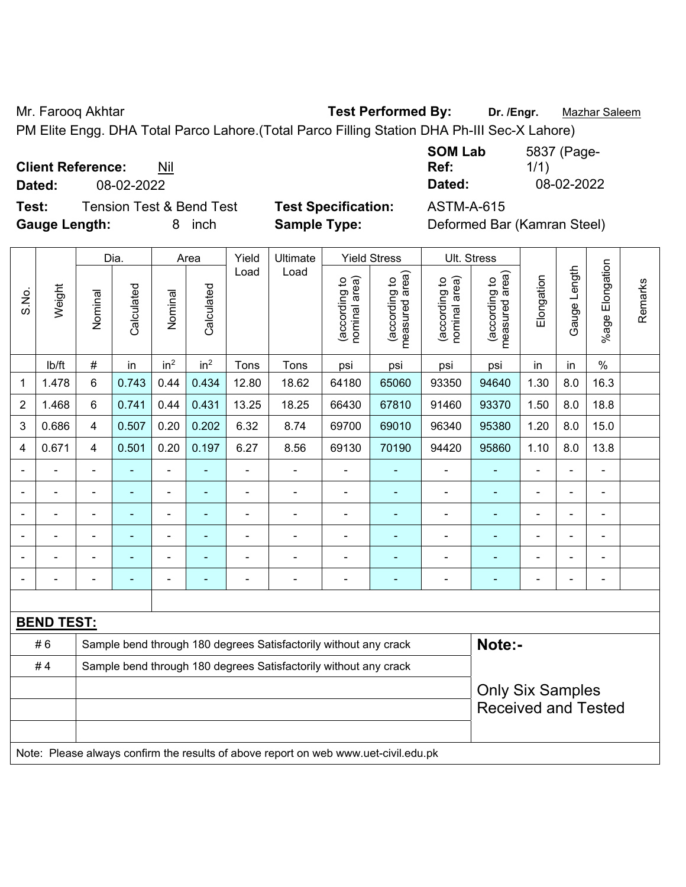Mr. Farooq Akhtar **Test Performed By: Dr. /Engr.** Mazhar Saleem

PM Elite Engg. DHA Total Parco Lahore.(Total Parco Filling Station DHA Ph-III Sec-X Lahore)

**Client Reference:** Nil

**Dated:** 08-02-2022 **Dated:** 08-02-2022

**Test:** Tension Test & Bend Test **Test Specification:** ASTM-A-615 **Gauge Length:** 8 inch **Sample Type:** Deformed Bar (Kamran Steel)

| <b>SOM Lab</b> | 5837 (Page- |
|----------------|-------------|
| Ref:           | 1/1)        |
| Dated:         | 08-02-2022  |

|                                                                        |                   | Dia.           |                | Area            |                          | Yield          | Ultimate                                                                            |                                | <b>Yield Stress</b>             |                                | <b>Ult. Stress</b>              |                |                |                 |         |
|------------------------------------------------------------------------|-------------------|----------------|----------------|-----------------|--------------------------|----------------|-------------------------------------------------------------------------------------|--------------------------------|---------------------------------|--------------------------------|---------------------------------|----------------|----------------|-----------------|---------|
| S.No.                                                                  | Weight            | Nominal        | Calculated     | Nominal         | Calculated               | Load           | Load                                                                                | nominal area)<br>(according to | (according to<br>measured area) | nominal area)<br>(according to | (according to<br>measured area) | Elongation     | Gauge Length   | %age Elongation | Remarks |
|                                                                        | lb/ft             | $\#$           | in             | in <sup>2</sup> | in <sup>2</sup>          | Tons           | Tons                                                                                | psi                            | psi                             | psi                            | psi                             | in             | in             | $\frac{0}{0}$   |         |
| 1                                                                      | 1.478             | $6\phantom{1}$ | 0.743          | 0.44            | 0.434                    | 12.80          | 18.62                                                                               | 64180                          | 65060                           | 93350                          | 94640                           | 1.30           | 8.0            | 16.3            |         |
| $\overline{2}$                                                         | 1.468             | $\,6\,$        | 0.741          | 0.44            | 0.431                    | 13.25          | 18.25                                                                               | 66430                          | 67810                           | 91460                          | 93370                           | 1.50           | 8.0            | 18.8            |         |
| 3                                                                      | 0.686             | $\overline{4}$ | 0.507          | 0.20            | 0.202                    | 6.32           | 8.74                                                                                | 69700                          | 69010                           | 96340                          | 95380                           | 1.20           | 8.0            | 15.0            |         |
| 4                                                                      | 0.671             | 4              | 0.501          | 0.20            | 0.197                    | 6.27           | 8.56                                                                                | 69130                          | 70190                           | 94420                          | 95860                           | 1.10           | 8.0            | 13.8            |         |
| $\blacksquare$                                                         | ä,                |                | ÷              | $\blacksquare$  | $\blacksquare$           | $\blacksquare$ | $\blacksquare$                                                                      | $\blacksquare$                 | $\blacksquare$                  | $\blacksquare$                 | ٠                               | $\blacksquare$ | ä,             | $\blacksquare$  |         |
|                                                                        | $\blacksquare$    |                | ٠              | $\blacksquare$  | $\blacksquare$           | $\blacksquare$ | $\blacksquare$                                                                      | $\blacksquare$                 | $\blacksquare$                  | $\overline{\phantom{a}}$       | ٠                               | $\blacksquare$ | ä,             | $\blacksquare$  |         |
|                                                                        | $\blacksquare$    |                | ÷,             | $\blacksquare$  | $\blacksquare$           | $\blacksquare$ | $\blacksquare$                                                                      | $\blacksquare$                 | $\blacksquare$                  | $\blacksquare$                 | ä,                              | $\blacksquare$ | ä,             | $\blacksquare$  |         |
|                                                                        |                   |                | $\blacksquare$ | $\blacksquare$  | $\overline{\phantom{a}}$ |                |                                                                                     | ä,                             | $\blacksquare$                  | Ē,                             |                                 |                | ÷              | $\blacksquare$  |         |
|                                                                        |                   |                |                | ۰               |                          |                |                                                                                     |                                | $\blacksquare$                  | $\blacksquare$                 | $\overline{\phantom{0}}$        |                |                | $\blacksquare$  |         |
|                                                                        | $\blacksquare$    |                | $\blacksquare$ | $\blacksquare$  | $\blacksquare$           |                | $\blacksquare$                                                                      | $\overline{\phantom{a}}$       | $\blacksquare$                  | $\blacksquare$                 | $\blacksquare$                  | $\blacksquare$ | $\blacksquare$ | $\blacksquare$  |         |
|                                                                        |                   |                |                |                 |                          |                |                                                                                     |                                |                                 |                                |                                 |                |                |                 |         |
|                                                                        | <b>BEND TEST:</b> |                |                |                 |                          |                |                                                                                     |                                |                                 |                                |                                 |                |                |                 |         |
| #6<br>Sample bend through 180 degrees Satisfactorily without any crack |                   |                |                |                 |                          |                |                                                                                     |                                |                                 |                                | Note:-                          |                |                |                 |         |
|                                                                        | #4                |                |                |                 |                          |                | Sample bend through 180 degrees Satisfactorily without any crack                    |                                |                                 |                                |                                 |                |                |                 |         |
|                                                                        |                   |                |                |                 |                          |                |                                                                                     |                                |                                 |                                | <b>Only Six Samples</b>         |                |                |                 |         |
|                                                                        |                   |                |                |                 |                          |                |                                                                                     |                                |                                 |                                | <b>Received and Tested</b>      |                |                |                 |         |
|                                                                        |                   |                |                |                 |                          |                |                                                                                     |                                |                                 |                                |                                 |                |                |                 |         |
|                                                                        |                   |                |                |                 |                          |                | Note: Please always confirm the results of above report on web www.uet-civil.edu.pk |                                |                                 |                                |                                 |                |                |                 |         |